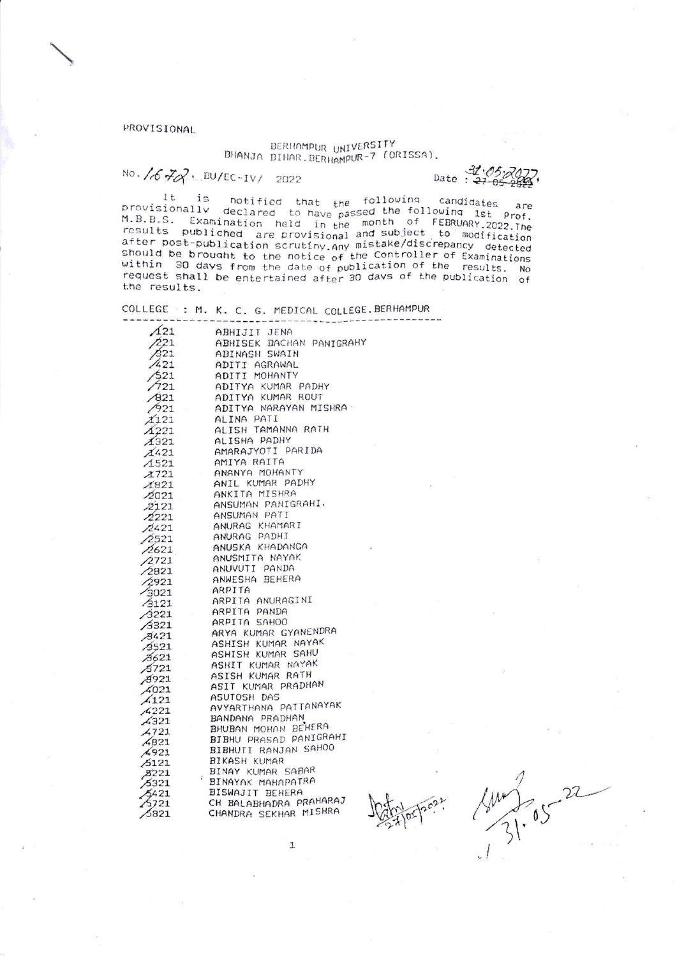PROVISIONAL

BERHAMPUR UNIVERSITY<br>BHANJA BIHAR.BERHAMPUR-7 (ORISSA).

No.  $1672.$  BU/EC-IV/ 2022

Date:  $\frac{31.05}{27}$ 

It is notified that the following candidates are<br>provisionally declared to have passed the following 1st Prof.<br>M.B.B.S. Examination held in the month of FEBRUARY.2022.The<br>results publiched are provisional and subject to mo It is<br>provisionally after post-publication scrutiny any mistake/discrepancy detected<br>should be brought to the notice of the Controller of Examinations<br>within 30 days from the date of publication of the results. No<br>request shall be entertained the results.

COLLEGE : M. K. C. G. MEDICAL COLLEGE. BERHAMPUR

| $\Lambda$ 21             | ABHIJIT JENA                                     |
|--------------------------|--------------------------------------------------|
| /221                     | ABHISEK BACHAN PANIGRAHY                         |
| /321                     | ABINASH SWAIN                                    |
| /421                     | ADITI AGRAWAL                                    |
| /521                     | ADITI MOHANTY                                    |
| 7721                     |                                                  |
|                          | ADITYA KUMAR PADHY                               |
| $\sqrt{821}$             | ADITYA KUMAR ROUT                                |
| 7921                     | ADITYA NARAYAN MISHRA                            |
| X121                     | ALINA PATI                                       |
| $\triangle$ 221          | ALISH TAMANNA RATH                               |
| $\chi$ 321               | ALISHA PADHY                                     |
| X421                     | AMARAJYOTI PARIDA                                |
| $\triangle$ 521          | AMIYA RAITA                                      |
| Z721                     | ANANYA MOHANTY                                   |
| $\triangle$ 821          | ANIL KUMAR PADHY                                 |
| 2021                     | ANKITA MISHRA                                    |
| 22121                    | ANSUMAN PANIGRAHI.                               |
| 72221                    | ANSUMAN PATI                                     |
| 72421                    | ANURAG KHAMARI                                   |
| 2521                     | ANURAG PADHI                                     |
|                          | ANUSKA KHADANGA                                  |
| 72621                    | ANUSMITA NAYAK                                   |
| 2721                     | ANUVUTI PANDA                                    |
| $\angle 2821$            | ANWESHA BEHERA                                   |
| $\sqrt{2921}$            | ARPITA                                           |
| 3021                     | ARPITA ANURAGINI                                 |
| $\sqrt{3121}$            |                                                  |
| /3221                    | ARPITA PANDA                                     |
| $\sqrt{3321}$            | ARPITA SAHOO                                     |
| 3421                     | ARYA KUMAR GYANENDRA                             |
| 73521                    | ASHISH KUMAR NAYAK                               |
| 7621                     | ASHISH KUMAR SAHU                                |
| 75721                    | ASHIT KUMAR NAYAK                                |
| 7921                     | ASISH KUMAR RATH                                 |
| $\angle 021$             | ASIT KUMAR PRADHAN                               |
| $\angle 121$             | ASUTOSH DAS                                      |
| A221                     | AVYARTHANA PATTANAYAK                            |
| $\frac{1}{4}321$         | BANDANA PRADHAN                                  |
| 4721                     | BHUBAN MOHAN BEHERA                              |
| $\sqrt{821}$             | BIBHU PRASAD PANIGRAHI                           |
| 4921                     | BIBHUTI RANJAN SAHOO                             |
| 5121                     | BIKASH KUMAR                                     |
| $\cancel{8}221$          | BINAY KUMAR SABAR                                |
| 5321                     | $\mathcal{L}_{\mathcal{L}}$<br>BINAYAK MAHAPATRA |
|                          | BISWAJIT BEHERA                                  |
| 5421<br>$\frac{2}{3721}$ | ╿<br>CH BALABHADRA PRAHARAJ                      |
| 5821                     | CHANDRA SEKHAR MISHRA                            |
|                          |                                                  |

 $\ensuremath{\mathbbm{1}}$ 

 $21.05$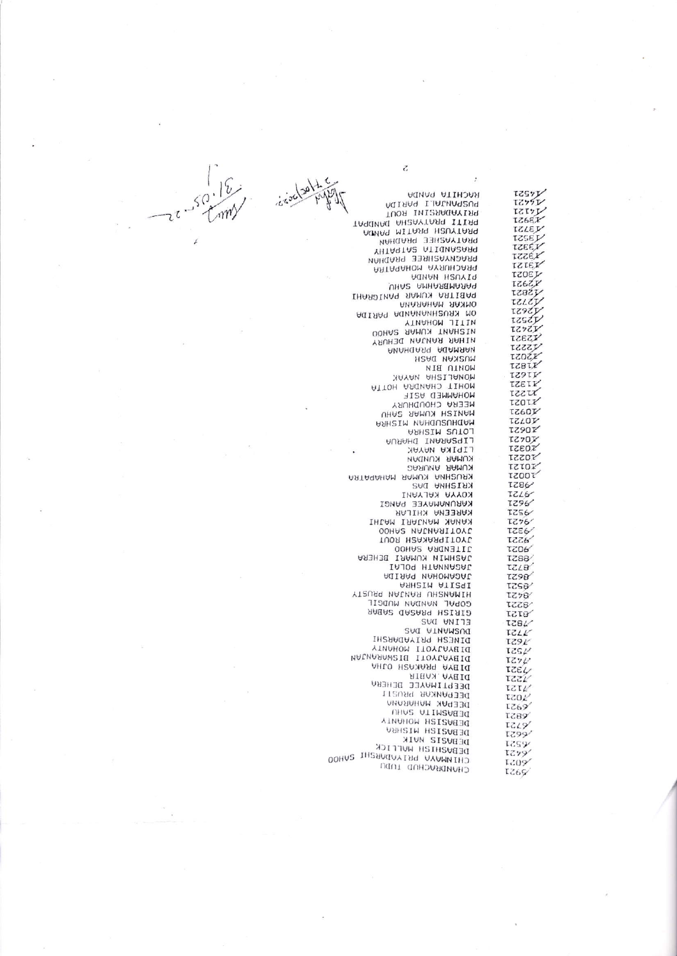**IZSYY**<br>IZ771 RACHITA PANDA MIRMA I IALINAZUA TUOR INISRAGAYING **IZ6EX** TA9dMAG AH2AYTAR9 ITIR9 ACTING MITARE HOUSTARE TZLEY PRATYASHEE PRADHAM **TZSET** TZEEY YHTA9TA2 ATIQNA2ARQ X3221 PRAGNYASHREE PRADHAN rzter **ARTAGHUM AYRUHJARQ** TZOEL MARINE AND ARRESTS THREE AND THE STATE OF THE STATE OF THE STATE OF THE STATE OF THE STATE OF THE STATE OF THE STATE OF THE STATE OF THE STATE OF THE STATE OF THE STATE OF THE STATE OF THE STATE OF THE STATE OF THE STATE O YZ821 tzier AGIAAN AQNANANHEUSA MO AZ621 tzszy **AINGHOM JITIN** エスップン **UDHAR KUMAR SAHOU** X2321 **YRUHAR RANJAN DEHURY** vzzzy NING PROPING rzoźr **IZBIX ISAIN** MONALISHA NAYAK TZETY **ATTOH ARGUAHD TIHOM** rzzu MOHAMMED ASIF **IZOIX** NATHER CHOUDHURY **IZ60J** TZLOV **ARHUSUM MAHOUSUHAM UNHISTM SULOT X0621** LIPSARANI DHARUA **TZ7OX** rzeoz **LIPIKA NAYAK AO221** KUMAR ANURAG TZTOI KINSS OF ROOM TZOOT **1286** KOYYA KALYANI **TZL6** KARUNAMAYEE PANGI **IZ96** KAREENA KHILAR **7256** THE MUNICIPAL MUNICIPAL MUNICIPAL MUNICIPAL COMPANY  $7276$ **TZE6** TUOR HEANARAITOYL 8551 JITENDRA SAHOO **A027 ARSHITH KUMARI BEHERA IZ88** IAJOA HIANNASAL TZL8 ASHEIM ATIZEI 1298 tzsa/ YTRURA NATHAR UHRMAMIH  $LZ78$ GOPAL NANDAN MUDGIL vassr SABAR GARAR HEIRID TET8 ELINA DAS 1281 **SAI ATMAMZUI**  $17.11'$ DINERH BEINDDERHI **IZ91** 1252  $7272$ DIBYA PRAKASH OJIA<br>DIBYA KABIR<br>DIBYA KABIR TZEL TZZL 7121 DEEPANKAR PRUSTI TZO2 DEEPAK MAHARANA **IZ69 C857 AINVIION HSISUERE TZ19** DEBUZIZH HIZHBU 1599/ DEBUZIZ HUIK **12594** DEBUZHIZH HULLICK 1279 CHINNAYA PRIYANDARENT SAHOO 1209 CHUNDRUCHOD INDO **7269** 

 $\overline{c}$ 

TZTYL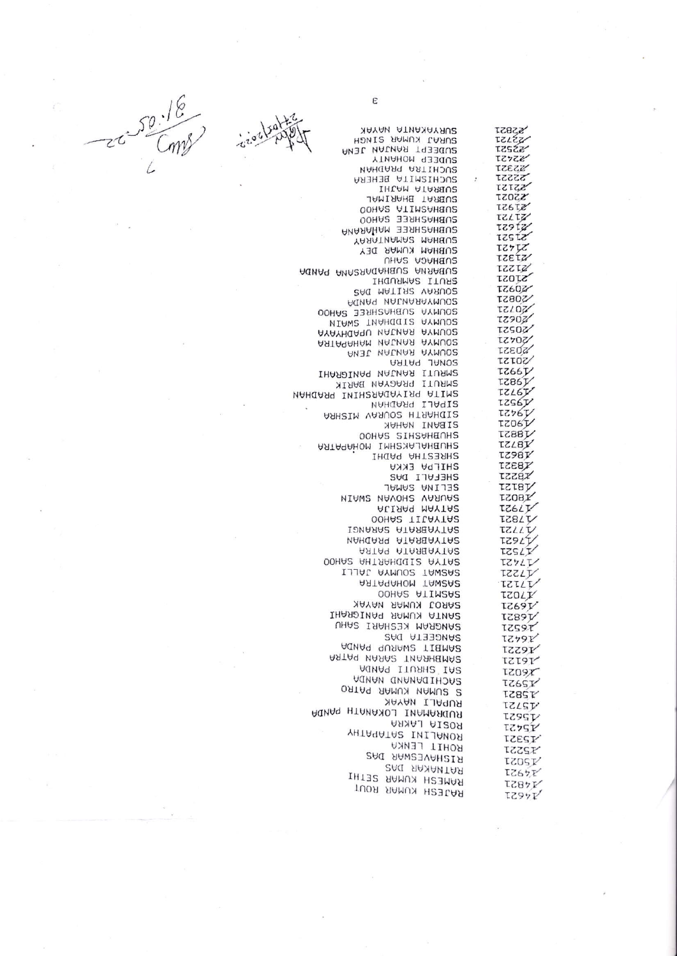SURYAKANTA NAYAK **SSBST** SURAJ KUMAR SINGH rzzzz SUDEEPT RANJAN JENA **SS257** 22421 SUDEEP MOHANTY **NECZZ SUCHITRA PRADHAN** SUCHISMITA BEHERA 22221 IHLAM ATAREUS 5,5151 **Z2021** SUBRAT BHARINAL **IZ6TZ** OOHA2 ATIM2AHBU2 ZZ137 CORNAS HREE SAHOO 72912 SUBHUSHREE WUHUBUH YARATNAMAR MAHEU2 TZSTZ SUBHAM KUMAR DEY ててケてご **AZETZ** *UHAS ADAHBUS* ZZZTZ AGUAR AUARANGAHEUS AUSABUS STOST IHAUS ITUR2 **IZ6027 GAG MATIAR VARUOS IZ802/** AQNA9 NALNARAYMUO2 **ASSIST** SOUMYA SUBHREE SAHOO **ZO621** NIAW2 THAHOUIS AYMUOS **ZOSOZ** AYAYHQAYU NALMAR AYMUO2 **ZO421** ASTAGAHAM MALMAR AYMUOS **ISEOZ** ANJL NALNAR AYMUOS ZOT5T AATA9 JANOS **TZ661** IHARDINAS NAUNAS ITURM2 **IZ86J/ XIRAB MAYARRY ITURMS** IZL6T ИАНДАЯЧ ІИІНГЯАДАҮІЯЧ АТІМЕ TZS6T SIPALI PRADHAN  $7276V$ ARHSIM VARUOS HTRAHQIS **TZO6T** SIBANI NAHAK **V8821** OOHA2 2IHZAHEUH2 **IZLBY SHUBHALAKSHMI MOHAPHATRA IZ98Y** SHRESTHA PADHI TZEBY **SHIFBU EKKU** X8ZZI SHELULI DU2 **TZTBJ** JAMA2 ANIJ32 **IZOBY NIAWS NAVOHS VARUAS** TZ6LT ALIAA9 MAYTA2 **TZ81V** OOHA2 TILAYTA2 IDMARA2 ATAREAYTA2 TZLLT **TZ9LT VAHQAR9 ATAREAYIA2** TZSLI AATA9 ATAREAYTA2 OOHA2 AHTAAHQUI2 AYTA2 エスケノエノ IJJAL AYMUOS TAW2A2 TZZLIV TZTLT ARTAGAHOM TAW2A2 OOHUS ULIWSUS **TZOLY** SAROJ KUMAR NAYAK IHARDINAR RAMUX ATNAZ **V6821** SANGRAM KESHARI SAHU SANGEETA DAS AGNA9 QUAAN2 TIBMAS AATA9 NARA2 TNASHEMA2 AUNA9 ITURH2 IA2 SACHIDAMAND NANDA S SUMAN KUMAR PATRO RUPALI NAYAK RUDRAMANI LOKANATH PANDA ROSIA LAKRA YHTA4ATA2 INIJANOR KOHIL FEMKU RISHAVESWAR DAS RATNAKAR DAS RAMESH KUMAR SETHI RAJESH KUMAR ROUT

**VS691** 

**IZS9T** 

**IZ791** 

A6221

**ASI21** 

**IZO9X** 

**TZ6SY** 

**72857** 

TZLST

**T29ST** 

**IZ7SY** 

**IZEST** 

Y2SST

IZOSI<sup>V</sup>

**IZ65F** 

**IZ87F** 

**IZ971** 

 $50.18$ 

 $\epsilon$